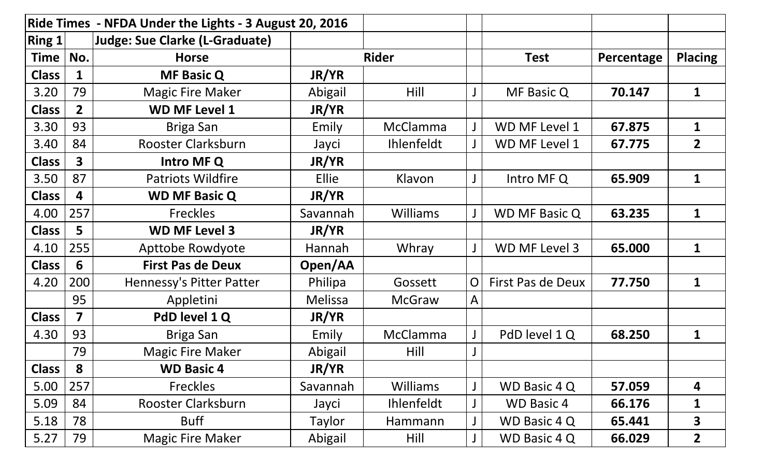| Ride Times - NFDA Under the Lights - 3 August 20, 2016 |                         |                                       |              |                   |                |                      |            |                |
|--------------------------------------------------------|-------------------------|---------------------------------------|--------------|-------------------|----------------|----------------------|------------|----------------|
| Ring $1$                                               |                         | <b>Judge: Sue Clarke (L-Graduate)</b> |              |                   |                |                      |            |                |
| <b>Time</b>                                            | No.                     | <b>Horse</b>                          |              | <b>Rider</b>      |                | <b>Test</b>          | Percentage | <b>Placing</b> |
| <b>Class</b>                                           | 1                       | <b>MF Basic Q</b>                     | JR/YR        |                   |                |                      |            |                |
| 3.20                                                   | 79                      | <b>Magic Fire Maker</b>               | Abigail      | Hill              |                | MF Basic Q           | 70.147     | $\mathbf{1}$   |
| <b>Class</b>                                           | $\overline{2}$          | <b>WD MF Level 1</b>                  | JR/YR        |                   |                |                      |            |                |
| 3.30                                                   | 93                      | Briga San                             | Emily        | McClamma          |                | WD MF Level 1        | 67.875     | 1              |
| 3.40                                                   | 84                      | <b>Rooster Clarksburn</b>             | Jayci        | <b>Ihlenfeldt</b> |                | WD MF Level 1        | 67.775     | $\overline{2}$ |
| <b>Class</b>                                           | $\overline{\mathbf{3}}$ | Intro MF Q                            | JR/YR        |                   |                |                      |            |                |
| 3.50                                                   | 87                      | <b>Patriots Wildfire</b>              | <b>Ellie</b> | Klavon            |                | Intro MF Q           | 65.909     | $\mathbf 1$    |
| <b>Class</b>                                           | 4                       | <b>WD MF Basic Q</b>                  | JR/YR        |                   |                |                      |            |                |
| 4.00                                                   | 257                     | <b>Freckles</b>                       | Savannah     | <b>Williams</b>   |                | <b>WD MF Basic Q</b> | 63.235     | $\mathbf{1}$   |
| <b>Class</b>                                           | 5                       | <b>WD MF Level 3</b>                  | JR/YR        |                   |                |                      |            |                |
| 4.10                                                   | 255                     | Apttobe Rowdyote                      | Hannah       | Whray             |                | WD MF Level 3        | 65.000     | $\mathbf{1}$   |
| <b>Class</b>                                           | 6                       | <b>First Pas de Deux</b>              | Open/AA      |                   |                |                      |            |                |
| 4.20                                                   | 200                     | Hennessy's Pitter Patter              | Philipa      | Gossett           | $\overline{O}$ | First Pas de Deux    | 77.750     | $\mathbf{1}$   |
|                                                        | 95                      | Appletini                             | Melissa      | <b>McGraw</b>     | A              |                      |            |                |
| <b>Class</b>                                           | 7                       | PdD level 1 Q                         | JR/YR        |                   |                |                      |            |                |
| 4.30                                                   | 93                      | Briga San                             | Emily        | <b>McClamma</b>   |                | PdD level 1 Q        | 68.250     | 1              |
|                                                        | 79                      | <b>Magic Fire Maker</b>               | Abigail      | Hill              | J              |                      |            |                |
| <b>Class</b>                                           | 8                       | <b>WD Basic 4</b>                     | JR/YR        |                   |                |                      |            |                |
| 5.00                                                   | 257                     | <b>Freckles</b>                       | Savannah     | <b>Williams</b>   |                | WD Basic 4 Q         | 57.059     | 4              |
| 5.09                                                   | 84                      | Rooster Clarksburn                    | Jayci        | <b>Ihlenfeldt</b> |                | <b>WD Basic 4</b>    | 66.176     | 1              |
| 5.18                                                   | 78                      | <b>Buff</b>                           | Taylor       | Hammann           |                | WD Basic 4 Q         | 65.441     | 3              |
| 5.27                                                   | 79                      | <b>Magic Fire Maker</b>               | Abigail      | Hill              |                | WD Basic 4 Q         | 66.029     | $\overline{2}$ |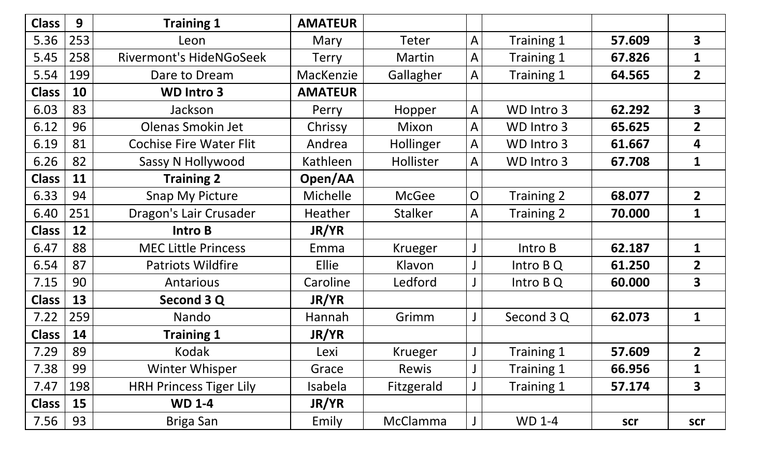| <b>Class</b> | 9   | <b>Training 1</b>              | <b>AMATEUR</b> |                 |                |               |        |                         |
|--------------|-----|--------------------------------|----------------|-----------------|----------------|---------------|--------|-------------------------|
| 5.36         | 253 | Leon                           | Mary           | Teter           | A              | Training 1    | 57.609 | $\overline{\mathbf{3}}$ |
| 5.45         | 258 | <b>Rivermont's HideNGoSeek</b> | <b>Terry</b>   | Martin          | A              | Training 1    | 67.826 | $\mathbf{1}$            |
| 5.54         | 199 | Dare to Dream                  | MacKenzie      | Gallagher       | A              | Training 1    | 64.565 | $\overline{2}$          |
| <b>Class</b> | 10  | <b>WD Intro 3</b>              | <b>AMATEUR</b> |                 |                |               |        |                         |
| 6.03         | 83  | Jackson                        | Perry          | Hopper          | A              | WD Intro 3    | 62.292 | $\overline{\mathbf{3}}$ |
| 6.12         | 96  | <b>Olenas Smokin Jet</b>       | Chrissy        | Mixon           | A              | WD Intro 3    | 65.625 | $\overline{2}$          |
| 6.19         | 81  | <b>Cochise Fire Water Flit</b> | Andrea         | Hollinger       | A              | WD Intro 3    | 61.667 | 4                       |
| 6.26         | 82  | Sassy N Hollywood              | Kathleen       | Hollister       | A              | WD Intro 3    | 67.708 | $\mathbf{1}$            |
| <b>Class</b> | 11  | <b>Training 2</b>              | Open/AA        |                 |                |               |        |                         |
| 6.33         | 94  | <b>Snap My Picture</b>         | Michelle       | <b>McGee</b>    | $\overline{O}$ | Training 2    | 68.077 | $\overline{2}$          |
| 6.40         | 251 | Dragon's Lair Crusader         | <b>Heather</b> | <b>Stalker</b>  | A              | Training 2    | 70.000 | 1                       |
| <b>Class</b> | 12  | <b>Intro B</b>                 | JR/YR          |                 |                |               |        |                         |
| 6.47         | 88  | <b>MEC Little Princess</b>     | Emma           | Krueger         |                | Intro B       | 62.187 | $\mathbf 1$             |
| 6.54         | 87  | <b>Patriots Wildfire</b>       | Ellie          | Klavon          |                | Intro B Q     | 61.250 | $\overline{2}$          |
| 7.15         | 90  | Antarious                      | Caroline       | Ledford         |                | Intro B Q     | 60.000 | $\overline{\mathbf{3}}$ |
| <b>Class</b> | 13  | Second 3 Q                     | JR/YR          |                 |                |               |        |                         |
| 7.22         | 259 | Nando                          | Hannah         | Grimm           |                | Second 3 Q    | 62.073 | $\mathbf 1$             |
| <b>Class</b> | 14  | <b>Training 1</b>              | JR/YR          |                 |                |               |        |                         |
| 7.29         | 89  | Kodak                          | Lexi           | Krueger         |                | Training 1    | 57.609 | $\overline{2}$          |
| 7.38         | 99  | <b>Winter Whisper</b>          | Grace          | Rewis           |                | Training 1    | 66.956 | $\mathbf{1}$            |
| 7.47         | 198 | <b>HRH Princess Tiger Lily</b> | Isabela        | Fitzgerald      |                | Training 1    | 57.174 | $\overline{\mathbf{3}}$ |
| <b>Class</b> | 15  | <b>WD 1-4</b>                  | JR/YR          |                 |                |               |        |                         |
| 7.56         | 93  | Briga San                      | Emily          | <b>McClamma</b> | $\mathsf{J}$   | <b>WD 1-4</b> | scr    | scr                     |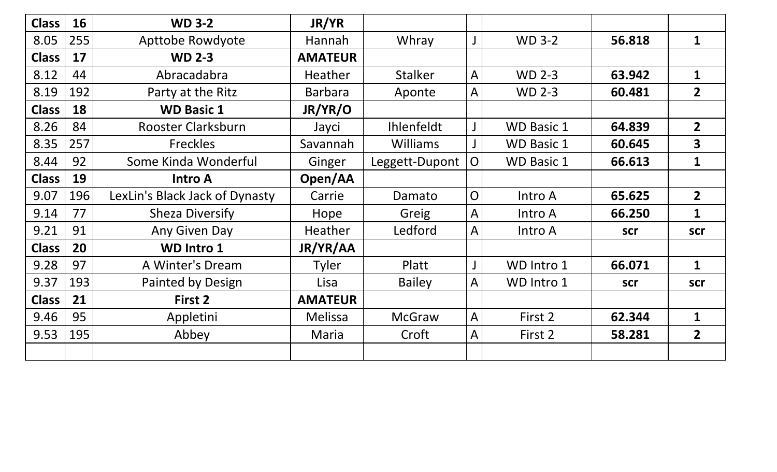| <b>Class</b> | 16  | <b>WD 3-2</b>                  | JR/YR          |                   |                |                   |        |                         |
|--------------|-----|--------------------------------|----------------|-------------------|----------------|-------------------|--------|-------------------------|
| 8.05         | 255 | <b>Apttobe Rowdyote</b>        | <b>Hannah</b>  | Whray             |                | <b>WD 3-2</b>     | 56.818 | $\mathbf{1}$            |
| <b>Class</b> | 17  | <b>WD 2-3</b>                  | <b>AMATEUR</b> |                   |                |                   |        |                         |
| 8.12         | 44  | Abracadabra                    | Heather        | <b>Stalker</b>    | A              | <b>WD 2-3</b>     | 63.942 | $\mathbf{1}$            |
| 8.19         | 192 | Party at the Ritz              | <b>Barbara</b> | Aponte            | A              | <b>WD 2-3</b>     | 60.481 | $\overline{2}$          |
| <b>Class</b> | 18  | <b>WD Basic 1</b>              | JR/YR/O        |                   |                |                   |        |                         |
| 8.26         | 84  | Rooster Clarksburn             | Jayci          | <b>Ihlenfeldt</b> |                | <b>WD Basic 1</b> | 64.839 | $\overline{2}$          |
| 8.35         | 257 | <b>Freckles</b>                | Savannah       | <b>Williams</b>   |                | <b>WD Basic 1</b> | 60.645 | $\overline{\mathbf{3}}$ |
| 8.44         | 92  | Some Kinda Wonderful           | Ginger         | Leggett-Dupont    | $\overline{O}$ | <b>WD Basic 1</b> | 66.613 | $\mathbf{1}$            |
| <b>Class</b> | 19  | <b>Intro A</b>                 | Open/AA        |                   |                |                   |        |                         |
| 9.07         | 196 | LexLin's Black Jack of Dynasty | Carrie         | Damato            | $\overline{O}$ | Intro A           | 65.625 | $\overline{2}$          |
| 9.14         | 77  | <b>Sheza Diversify</b>         | Hope           | Greig             | A              | Intro A           | 66.250 | $\mathbf{1}$            |
| 9.21         | 91  | Any Given Day                  | Heather        | Ledford           | A              | Intro A           | scr    | scr                     |
| <b>Class</b> | 20  | <b>WD Intro 1</b>              | JR/YR/AA       |                   |                |                   |        |                         |
| 9.28         | 97  | A Winter's Dream               | <b>Tyler</b>   | Platt             |                | WD Intro 1        | 66.071 | 1                       |
| 9.37         | 193 | Painted by Design              | Lisa           | <b>Bailey</b>     | $\mathsf{A}$   | WD Intro 1        | scr    | scr                     |
| <b>Class</b> | 21  | First 2                        | <b>AMATEUR</b> |                   |                |                   |        |                         |
| 9.46         | 95  | Appletini                      | <b>Melissa</b> | <b>McGraw</b>     | A              | First 2           | 62.344 | 1                       |
| 9.53         | 195 | Abbey                          | Maria          | Croft             | A              | First 2           | 58.281 | $\overline{2}$          |
|              |     |                                |                |                   |                |                   |        |                         |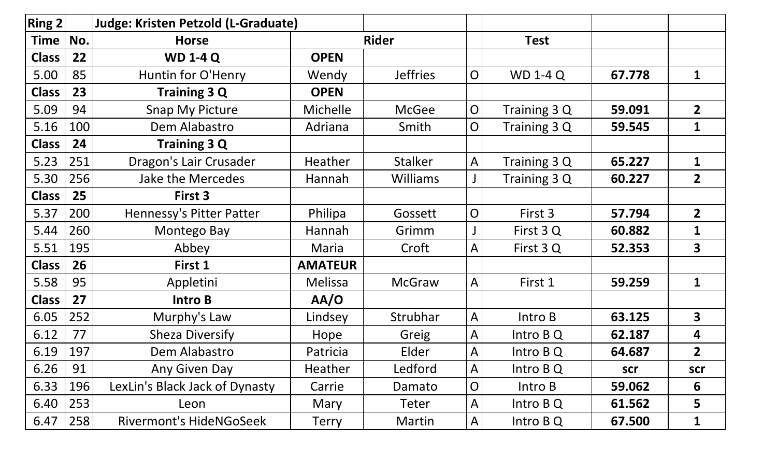| $\vert$ Ring 2 $\vert$ |     | <b>Judge: Kristen Petzold (L-Graduate)</b> |                |                 |                |                 |        |                         |
|------------------------|-----|--------------------------------------------|----------------|-----------------|----------------|-----------------|--------|-------------------------|
| <b>Time</b>            | No. | <b>Horse</b>                               |                | <b>Rider</b>    |                | <b>Test</b>     |        |                         |
| <b>Class</b>           | 22  | <b>WD 1-4 Q</b>                            | <b>OPEN</b>    |                 |                |                 |        |                         |
| 5.00                   | 85  | Huntin for O'Henry                         | Wendy          | <b>Jeffries</b> | $\overline{O}$ | <b>WD 1-4 Q</b> | 67.778 | $\mathbf{1}$            |
| <b>Class</b>           | 23  | <b>Training 3 Q</b>                        | <b>OPEN</b>    |                 |                |                 |        |                         |
| 5.09                   | 94  | <b>Snap My Picture</b>                     | Michelle       | <b>McGee</b>    | $\overline{O}$ | Training 3 Q    | 59.091 | $\overline{2}$          |
| 5.16                   | 100 | Dem Alabastro                              | Adriana        | Smith           | $\overline{O}$ | Training 3 Q    | 59.545 | 1                       |
| <b>Class</b>           | 24  | Training 3 Q                               |                |                 |                |                 |        |                         |
| 5.23                   | 251 | Dragon's Lair Crusader                     | Heather        | <b>Stalker</b>  | $\mathsf{A}$   | Training 3 Q    | 65.227 | $\mathbf{1}$            |
| 5.30                   | 256 | <b>Jake the Mercedes</b>                   | Hannah         | <b>Williams</b> |                | Training 3 Q    | 60.227 | $\overline{2}$          |
| <b>Class</b>           | 25  | First 3                                    |                |                 |                |                 |        |                         |
| 5.37                   | 200 | <b>Hennessy's Pitter Patter</b>            | Philipa        | Gossett         | $\overline{O}$ | First 3         | 57.794 | $\overline{2}$          |
| 5.44                   | 260 | Montego Bay                                | Hannah         | Grimm           |                | First 3 Q       | 60.882 | $\mathbf{1}$            |
| 5.51                   | 195 | Abbey                                      | Maria          | Croft           | A              | First 3 Q       | 52.353 | $\overline{\mathbf{3}}$ |
| <b>Class</b>           | 26  | First 1                                    | <b>AMATEUR</b> |                 |                |                 |        |                         |
| 5.58                   | 95  | Appletini                                  | <b>Melissa</b> | <b>McGraw</b>   | $\mathsf{A}$   | First 1         | 59.259 | $\mathbf{1}$            |
| <b>Class</b>           | 27  | Intro B                                    | AA/O           |                 |                |                 |        |                         |
| 6.05                   | 252 | Murphy's Law                               | Lindsey        | Strubhar        | $\mathsf{A}$   | Intro B         | 63.125 | $\overline{\mathbf{3}}$ |
| 6.12                   | 77  | <b>Sheza Diversify</b>                     | Hope           | Greig           | A              | Intro B Q       | 62.187 | 4                       |
| 6.19                   | 197 | Dem Alabastro                              | Patricia       | Elder           | A              | Intro B Q       | 64.687 | $\overline{2}$          |
| 6.26                   | 91  | Any Given Day                              | <b>Heather</b> | Ledford         | $\mathsf{A}$   | Intro B Q       | scr    | scr                     |
| 6.33                   | 196 | LexLin's Black Jack of Dynasty             | Carrie         | Damato          | $\overline{O}$ | Intro B         | 59.062 | 6                       |
| 6.40                   | 253 | Leon                                       | Mary           | Teter           | A              | Intro B Q       | 61.562 | 5                       |
| 6.47                   | 258 | <b>Rivermont's HideNGoSeek</b>             | Terry          | Martin          | A              | Intro B Q       | 67.500 | 1                       |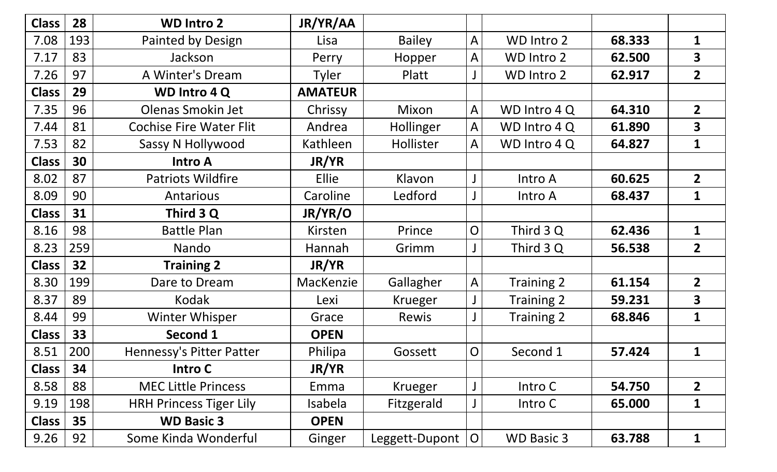| <b>Class</b> | 28  | <b>WD Intro 2</b>              | JR/YR/AA       |                  |                |                   |        |                         |
|--------------|-----|--------------------------------|----------------|------------------|----------------|-------------------|--------|-------------------------|
| 7.08         | 193 | Painted by Design              | Lisa           | <b>Bailey</b>    | A              | WD Intro 2        | 68.333 | $\mathbf 1$             |
| 7.17         | 83  | Jackson                        | Perry          | Hopper           | A              | <b>WD Intro 2</b> | 62.500 | $\overline{\mathbf{3}}$ |
| 7.26         | 97  | A Winter's Dream               | <b>Tyler</b>   | Platt            |                | WD Intro 2        | 62.917 | $\overline{2}$          |
| <b>Class</b> | 29  | <b>WD Intro 4 Q</b>            | <b>AMATEUR</b> |                  |                |                   |        |                         |
| 7.35         | 96  | Olenas Smokin Jet              | Chrissy        | Mixon            | A              | WD Intro 4 Q      | 64.310 | 2 <sup>1</sup>          |
| 7.44         | 81  | <b>Cochise Fire Water Flit</b> | Andrea         | <b>Hollinger</b> | A              | WD Intro 4 Q      | 61.890 | $\overline{\mathbf{3}}$ |
| 7.53         | 82  | Sassy N Hollywood              | Kathleen       | Hollister        | A              | WD Intro 4 Q      | 64.827 | $\mathbf{1}$            |
| <b>Class</b> | 30  | <b>Intro A</b>                 | JR/YR          |                  |                |                   |        |                         |
| 8.02         | 87  | <b>Patriots Wildfire</b>       | Ellie          | Klavon           |                | Intro A           | 60.625 | 2 <sup>1</sup>          |
| 8.09         | 90  | <b>Antarious</b>               | Caroline       | Ledford          |                | Intro A           | 68.437 | $\mathbf 1$             |
| <b>Class</b> | 31  | Third 3 Q                      | JR/YR/O        |                  |                |                   |        |                         |
| 8.16         | 98  | <b>Battle Plan</b>             | Kirsten        | Prince           | $\overline{O}$ | Third 3 Q         | 62.436 | $\mathbf{1}$            |
| 8.23         | 259 | Nando                          | Hannah         | Grimm            |                | Third 3 Q         | 56.538 | 2 <sup>1</sup>          |
| <b>Class</b> | 32  | <b>Training 2</b>              | JR/YR          |                  |                |                   |        |                         |
| 8.30         | 199 | Dare to Dream                  | MacKenzie      | Gallagher        | A              | Training 2        | 61.154 | $\overline{2}$          |
| 8.37         | 89  | Kodak                          | Lexi           | Krueger          |                | Training 2        | 59.231 | $\overline{\mathbf{3}}$ |
| 8.44         | 99  | Winter Whisper                 | Grace          | Rewis            |                | Training 2        | 68.846 | $\mathbf{1}$            |
| <b>Class</b> | 33  | <b>Second 1</b>                | <b>OPEN</b>    |                  |                |                   |        |                         |
| 8.51         | 200 | Hennessy's Pitter Patter       | Philipa        | Gossett          | $\overline{O}$ | Second 1          | 57.424 | $\mathbf{1}$            |
| <b>Class</b> | 34  | <b>Intro C</b>                 | JR/YR          |                  |                |                   |        |                         |
| 8.58         | 88  | <b>MEC Little Princess</b>     | Emma           | Krueger          |                | Intro C           | 54.750 | $\overline{2}$          |
| 9.19         | 198 | <b>HRH Princess Tiger Lily</b> | Isabela        | Fitzgerald       |                | Intro C           | 65.000 | 1                       |
| <b>Class</b> | 35  | <b>WD Basic 3</b>              | <b>OPEN</b>    |                  |                |                   |        |                         |
| 9.26         | 92  | Some Kinda Wonderful           | Ginger         | Leggett-Dupont   | $\overline{O}$ | <b>WD Basic 3</b> | 63.788 | $\mathbf 1$             |